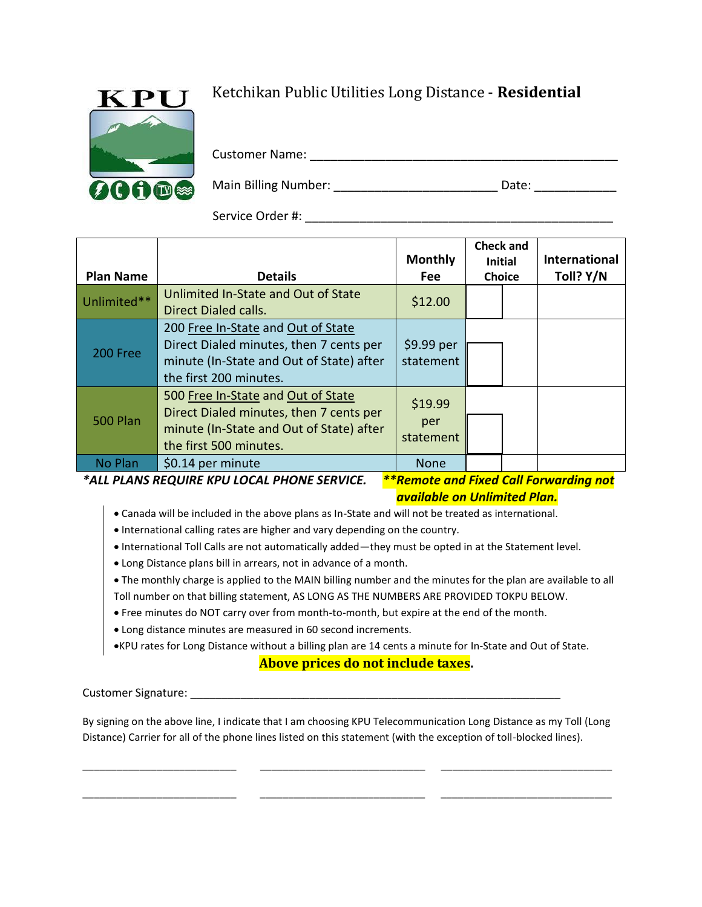

## Ketchikan Public Utilities Long Distance - **Residential**

Customer Name: \_\_\_\_\_\_\_\_\_\_\_\_\_\_\_\_\_\_\_\_\_\_\_\_\_\_\_\_\_\_\_\_\_\_\_\_\_\_\_\_\_\_\_\_\_

Main Billing Number: \_\_\_\_\_\_\_\_\_\_\_\_\_\_\_\_\_\_\_\_\_\_\_\_\_\_\_\_\_\_\_ Date: \_\_\_\_\_\_\_\_\_\_\_\_\_\_\_\_\_\_\_\_\_

Service Order #:

| <b>Plan Name</b> | <b>Details</b>                                                                                                                                      | <b>Monthly</b><br><b>Fee</b>  | <b>Check and</b><br><b>Initial</b><br><b>Choice</b> |                               | International<br>Toll? Y/N |
|------------------|-----------------------------------------------------------------------------------------------------------------------------------------------------|-------------------------------|-----------------------------------------------------|-------------------------------|----------------------------|
| Unlimited**      | Unlimited In-State and Out of State<br><b>Direct Dialed calls.</b>                                                                                  | \$12.00                       |                                                     |                               |                            |
| 200 Free         | 200 Free In-State and Out of State<br>Direct Dialed minutes, then 7 cents per<br>minute (In-State and Out of State) after<br>the first 200 minutes. | \$9.99 per<br>statement       |                                                     |                               |                            |
| <b>500 Plan</b>  | 500 Free In-State and Out of State<br>Direct Dialed minutes, then 7 cents per<br>minute (In-State and Out of State) after<br>the first 500 minutes. | \$19.99<br>per<br>statement   |                                                     |                               |                            |
| No Plan          | \$0.14 per minute<br>$"$ all be able beginner in the again busque                                                                                   | <b>None</b><br>المتوافقة فلله | .                                                   | $\mathbf{r}$ and $\mathbf{r}$ |                            |

*\*ALL PLANS REQUIRE KPU LOCAL PHONE SERVICE. \*\*Remote and Fixed Call Forwarding not*

*available on Unlimited Plan.*

- Canada will be included in the above plans as In-State and will not be treated as international.
- International calling rates are higher and vary depending on the country.
- International Toll Calls are not automatically added—they must be opted in at the Statement level.
- Long Distance plans bill in arrears, not in advance of a month.
- The monthly charge is applied to the MAIN billing number and the minutes for the plan are available to all Toll number on that billing statement, AS LONG AS THE NUMBERS ARE PROVIDED TOKPU BELOW.
- Free minutes do NOT carry over from month-to-month, but expire at the end of the month.
- Long distance minutes are measured in 60 second increments.

KPU rates for Long Distance without a billing plan are 14 cents a minute for In-State and Out of State.

## **Above prices do not include taxes.**

Customer Signature: \_\_\_\_\_\_\_\_\_\_\_\_\_\_\_\_\_\_\_\_\_\_\_\_\_\_\_\_\_\_\_\_\_\_\_\_\_\_\_\_\_\_\_\_\_\_\_\_\_\_\_\_\_\_\_\_\_\_\_

By signing on the above line, I indicate that I am choosing KPU Telecommunication Long Distance as my Toll (Long Distance) Carrier for all of the phone lines listed on this statement (with the exception of toll-blocked lines).

\_\_\_\_\_\_\_\_\_\_\_\_\_\_\_\_\_\_\_\_\_\_\_\_\_\_\_ \_\_\_\_\_\_\_\_\_\_\_\_\_\_\_\_\_\_\_\_\_\_\_\_\_\_\_\_\_ \_\_\_\_\_\_\_\_\_\_\_\_\_\_\_\_\_\_\_\_\_\_\_\_\_\_\_\_\_\_

\_\_\_\_\_\_\_\_\_\_\_\_\_\_\_\_\_\_\_\_\_\_\_\_\_\_\_ \_\_\_\_\_\_\_\_\_\_\_\_\_\_\_\_\_\_\_\_\_\_\_\_\_\_\_\_\_ \_\_\_\_\_\_\_\_\_\_\_\_\_\_\_\_\_\_\_\_\_\_\_\_\_\_\_\_\_\_